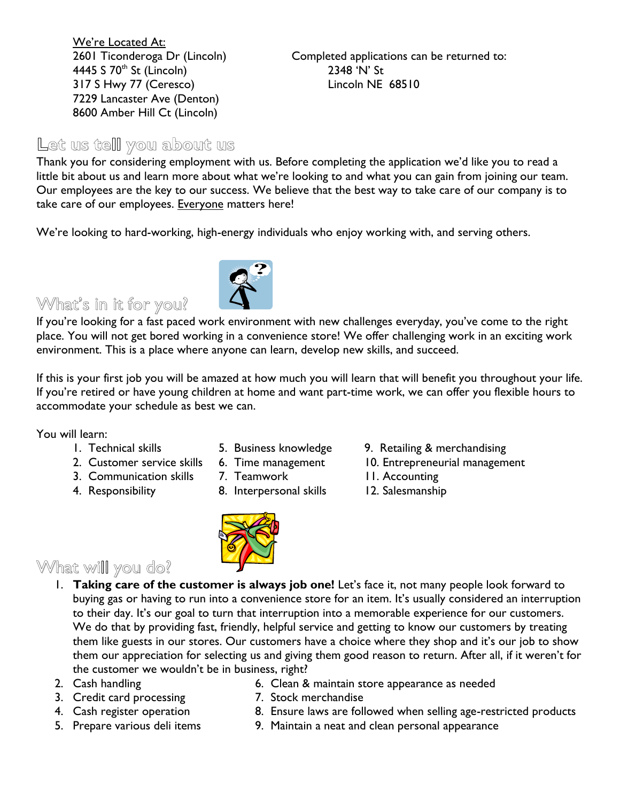We're Located At: 4445 S 70th St (Lincoln) 2348 'N' St 317 S Hwy 77 (Ceresco) Lincoln NE 68510 7229 Lancaster Ave (Denton) 8600 Amber Hill Ct (Lincoln)

2601 Ticonderoga Dr (Lincoln) Completed applications can be returned to:

#### **Let us tell you about us**

Thank you for considering employment with us. Before completing the application we'd like you to read a little bit about us and learn more about what we're looking to and what you can gain from joining our team. Our employees are the key to our success. We believe that the best way to take care of our company is to take care of our employees. Everyone matters here!

We're looking to hard-working, high-energy individuals who enjoy working with, and serving others.

What's in it for you?

If you're looking for a fast paced work environment with new challenges everyday, you've come to the right place. You will not get bored working in a convenience store! We offer challenging work in an exciting work environment. This is a place where anyone can learn, develop new skills, and succeed.

If this is your first job you will be amazed at how much you will learn that will benefit you throughout your life. If you're retired or have young children at home and want part-time work, we can offer you flexible hours to accommodate your schedule as best we can.

You will learn:

- 
- 
- -
- 
- 4. Responsibility 8. Interpersonal skills 12. Salesmanship
- What will you do?
	- 1. **Taking care of the customer is always job one!** Let's face it, not many people look forward to buying gas or having to run into a convenience store for an item. It's usually considered an interruption to their day. It's our goal to turn that interruption into a memorable experience for our customers. We do that by providing fast, friendly, helpful service and getting to know our customers by treating them like guests in our stores. Our customers have a choice where they shop and it's our job to show them our appreciation for selecting us and giving them good reason to return. After all, if it weren't for the customer we wouldn't be in business, right?
	-
	- 3. Credit card processing T. Stock merchandise
	-
	-
	- 2. Cash handling **6. Clean & maintain store appearance as needed** 
		-
	- 4. Cash register operation 8. Ensure laws are followed when selling age-restricted products
	- 5. Prepare various deli items 9. Maintain a neat and clean personal appearance





- 2. Customer service skills 6. Time management 10. Entrepreneurial management
- 3. Communication skills 7. Teamwork 11. Accounting
	-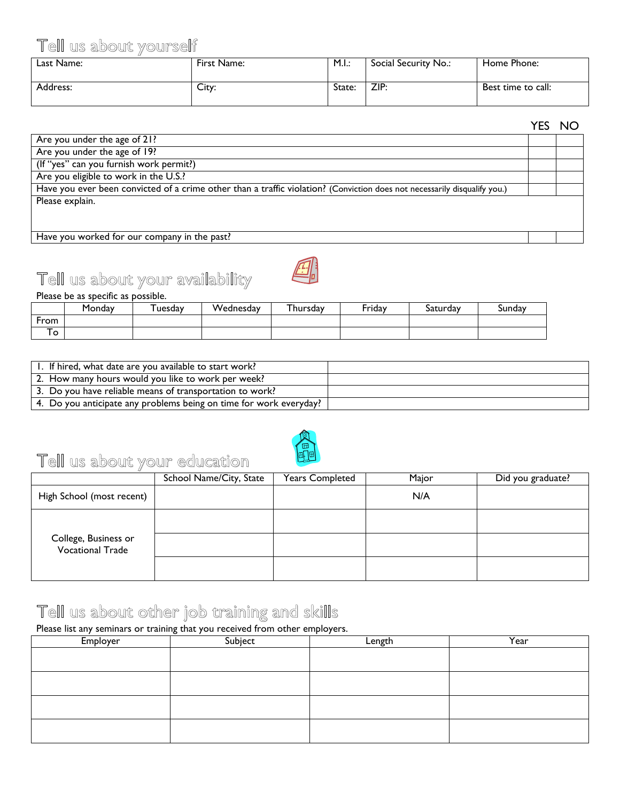#### Tell us about yourself

| Last Name: | First Name: | M.I.:  | Social Security No.: | Home Phone:        |
|------------|-------------|--------|----------------------|--------------------|
| Address:   | City:       | State: | ZIP:                 | Best time to call: |

|                                                                                                                           | ∪יו ש∟ו |
|---------------------------------------------------------------------------------------------------------------------------|---------|
| Are you under the age of 21?                                                                                              |         |
| Are you under the age of 19?                                                                                              |         |
| (If "yes" can you furnish work permit?)                                                                                   |         |
| Are you eligible to work in the U.S.?                                                                                     |         |
| Have you ever been convicted of a crime other than a traffic violation? (Conviction does not necessarily disqualify you.) |         |
| Please explain.                                                                                                           |         |
|                                                                                                                           |         |
|                                                                                                                           |         |
| $\sim$ $\sim$                                                                                                             |         |

Have you worked for our company in the past?





Please be as specific as possible.

|        | Monday | uesdav | Wednesday | hursdav | Friday | Saturday | sunday |
|--------|--------|--------|-----------|---------|--------|----------|--------|
| From   |        |        |           |         |        |          |        |
| -<br>ີ |        |        |           |         |        |          |        |

| I. If hired, what date are you available to start work?            |  |
|--------------------------------------------------------------------|--|
| 2. How many hours would you like to work per week?                 |  |
| 3. Do you have reliable means of transportation to work?           |  |
| 4. Do you anticipate any problems being on time for work everyday? |  |



# Tell us about your education

|                                                 | School Name/City, State | <b>Years Completed</b> | Major | Did you graduate? |
|-------------------------------------------------|-------------------------|------------------------|-------|-------------------|
| High School (most recent)                       |                         |                        | N/A   |                   |
|                                                 |                         |                        |       |                   |
| College, Business or<br><b>Vocational Trade</b> |                         |                        |       |                   |
|                                                 |                         |                        |       |                   |

### Tell us about other job training and skills

Please list any seminars or training that you received from other employers.

| Employer | Subject | Length | Year |
|----------|---------|--------|------|
|          |         |        |      |
|          |         |        |      |
|          |         |        |      |
|          |         |        |      |
|          |         |        |      |
|          |         |        |      |
|          |         |        |      |
|          |         |        |      |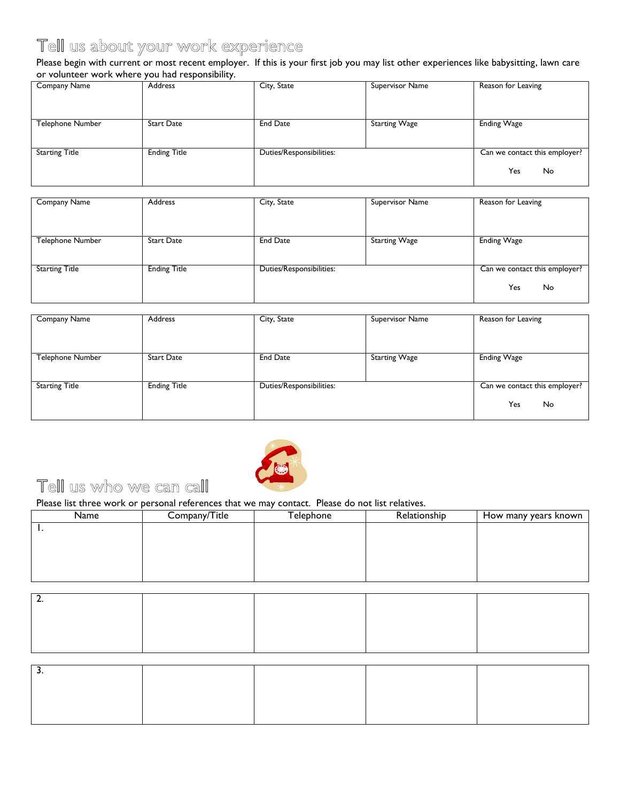## Tell us about your work experience

Please begin with current or most recent employer. If this is your first job you may list other experiences like babysitting, lawn care or volunteer work where you had responsibility.

| Company Name          | Address             | City, State              | Supervisor Name      | Reason for Leaving            |
|-----------------------|---------------------|--------------------------|----------------------|-------------------------------|
|                       |                     |                          |                      |                               |
|                       |                     |                          |                      |                               |
|                       |                     |                          |                      |                               |
| Telephone Number      | <b>Start Date</b>   | <b>End Date</b>          | <b>Starting Wage</b> | <b>Ending Wage</b>            |
|                       |                     |                          |                      |                               |
|                       |                     |                          |                      |                               |
| <b>Starting Title</b> | <b>Ending Title</b> | Duties/Responsibilities: |                      | Can we contact this employer? |
|                       |                     |                          |                      |                               |
|                       |                     |                          |                      | Yes<br>No                     |
|                       |                     |                          |                      |                               |

| Company Name            | Address             | City, State              | Supervisor Name      | Reason for Leaving            |
|-------------------------|---------------------|--------------------------|----------------------|-------------------------------|
|                         |                     |                          |                      |                               |
|                         |                     |                          |                      |                               |
| <b>Telephone Number</b> | Start Date          | <b>End Date</b>          | <b>Starting Wage</b> | <b>Ending Wage</b>            |
|                         |                     |                          |                      |                               |
| <b>Starting Title</b>   | <b>Ending Title</b> | Duties/Responsibilities: |                      | Can we contact this employer? |
|                         |                     |                          |                      | Yes<br>No                     |
|                         |                     |                          |                      |                               |

| Company Name            | Address             | City, State              | Supervisor Name      | Reason for Leaving                         |
|-------------------------|---------------------|--------------------------|----------------------|--------------------------------------------|
| <b>Telephone Number</b> | <b>Start Date</b>   | <b>End Date</b>          | <b>Starting Wage</b> | <b>Ending Wage</b>                         |
| <b>Starting Title</b>   | <b>Ending Title</b> | Duties/Responsibilities: |                      | Can we contact this employer?<br>Yes<br>No |



### Tell us who we can call

Please list three work or personal references that we may contact. Please do not list relatives.

| Name | Company/Title | Telephone | Relationship | How many years known |
|------|---------------|-----------|--------------|----------------------|
| . .  |               |           |              |                      |
|      |               |           |              |                      |
|      |               |           |              |                      |
|      |               |           |              |                      |
|      |               |           |              |                      |